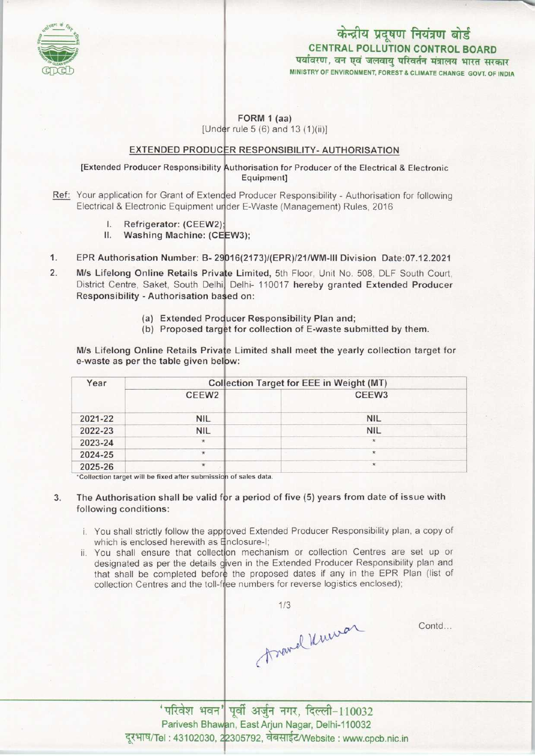

## केन्द्रीय प्रदूषण नियंत्रण बोर्ड CENTRAL POLLUTION CONTROL BOARD<br>पर्यावरण, वन एवं जलवायु परिवर्तन मंत्रालय भारत सरकार MINISTRY OF ENVIRONMENT, FOREST & CLIMATE CHANGE GOVT. OF INDIA

#### FORM 1 (aa) [Under rule 5  $(6)$  and 13  $(1)(ii)$ ]

# **EXTENDED PRODUCER RESPONSIBILITY- AUTHORISATION**

#### [Extended Producer Responsibility Authorisation for Producer of the Electrical & Electronic Equipment]

- Ref: Your application for Grant of Extended Producer Responsibility Authorisation for following Electrical & Electronic Equipment under E-Waste (Management) Rules, 2016
	- I. Refrigerator: (CEEW2);<br>II. Washing Machine: (CE
	- Washing Machine: (CEEW3):
- 1. EPR Authorisation Number: B- 29016(2173)/(EPR)/21/WM-III Division Date:07.12.2021
- M/s Lifelong Online Retails Private Limited, 5th Floor, Unit No. 508, DLF South Court  $\overline{2}$ . District Centre, Saket, South Delhi, Delhi- 110017 hereby granted Extended Producer Responsibility - Authorisation ba ed on:
	- (a) Extended Producer Responsibility Plan and;
	- (a) Extended Producer Responsibility Plan and,<br>(b) Proposed target for collection of E-waste submitted by them.

M/s Lifelong Online Retails Private Limited shall meet the yearly collection target for e-waste as per the table given below:

| Year    | Collection Target for EEE in Weight (MT) |            |
|---------|------------------------------------------|------------|
|         | CEEW <sub>2</sub>                        | CEEW3      |
| 2021-22 | <b>NIL</b>                               | <b>NIL</b> |
| 2022-23 | <b>NIL</b>                               | <b>NIL</b> |
| 2023-24 | $\star$                                  | $\star$    |
| 2024-25 | $^{\star}$                               | $\star$    |
| 2025-26 | $\star$                                  | $\star$    |

'Collection target will be fixed after submissio<mark>n of sales data.</mark>

#### 3. The Authorisation shall be valid for a period of five (5) years from date of issue with following conditions:

- i. You shall strictly follow the approved Extended Producer Responsibility plan, a copy of which is enclosed herewith as Enclosure-I
- ii. You shall ensure that collection mechanism or collection Centres are set up or designated as per the details given in the Extended Producer Responsibility plan and that shall be completed before the proposed dates if any in the EPR Plan (list of collection Centres and the toll-free numbers for reverse logistics enclosed)

1/3<br>Anavel Murrar

Contd...

'परिवेश भवन' पूर्वी अर्जुन नगर, दिल्ली-110032 Parivesh Bhawan, East Arjun Nagar, Delhi-110032 दूरभाष/Tel: 43102030, 22305792, वेबसाईट/Website: www.cpcb.nic.in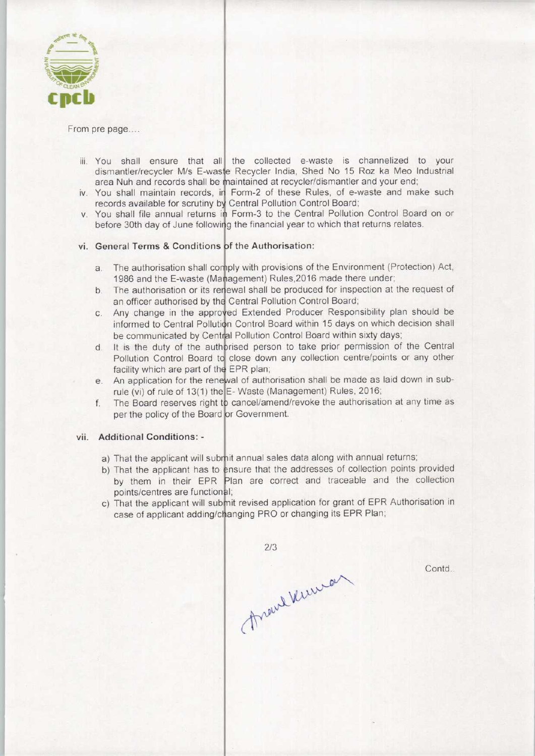

From pre page....

- iii. You shall ensure that all the collected e-waste is channelized to your dismantler/recycler M/s E-waste Recycler India, Shed No 15 Roz ka Meo Industria area Nuh and records shall be maintained at recycler/dismantler and your end
- iv. You shall maintain records, in Form-2 of these Rules, of e-waste and make such records available for scrutiny by Central Pollution Control Board
- v. You shall file annual returns in Form-3 to the Central Pollution Control Board on or before 30th day of June following the financial year to which that returns relates.

### vi. General Terms & Conditions of the Authorisation:

- a. The authorisation shall comply with provisions of the Environment (Protection) Act 1986 and the E-waste (Management) Rules, 2016 made there under
- 1986 and the E-waste (Management) Rules, 2016 made there under;<br>b. The authorisation or its renewal shall be produced for inspection at the request of
- an officer authorised by the Central Pollution Control Board<br>
c. Any change in the approved Extended Producer Responent Any change in the approved Extended Producer Responsibility plan should be informed to Central Pollution Control Board within 15 days on which decision shall be communicated by Central Pollution Control Board within sixty days
- be communicated by Central Pollution Control Board within sixty days;<br>d. It is the duty of the authorised person to take prior permission of the Central<br>Deliving Central Board to also down any cellection contrologists or a Pollution Control Board to close down any collection centre/points or any other facility which are part of the EPR plan;
- facility which are part of the EPR plan;<br>e. An application for the renewal of authorisation shall be made as laid down in sub-
- rule (vi) of rule of 13(1) the E-Waste (Management) Rules, 2016<br>f. The Board reserves right to cancel/amend/revoke the authorisat The Board reserves right to cancel/amend/revoke the authorisation at any time as per the policy of the Board or Government.

#### vii. Additional Conditions: -

- a) That the applicant will submit annual sales data along with annual returns
- b) That the applicant has to ensure that the addresses of collection points provided by them in their EPR Plan are correct and traceable and the collection points/centres are functional;
- c) That the applicant will submit revised application for grant of EPR Authorisation in case of applicant adding/changing PRO or changing its EPR Plan

 $2/3$ Arand Verman

Contd